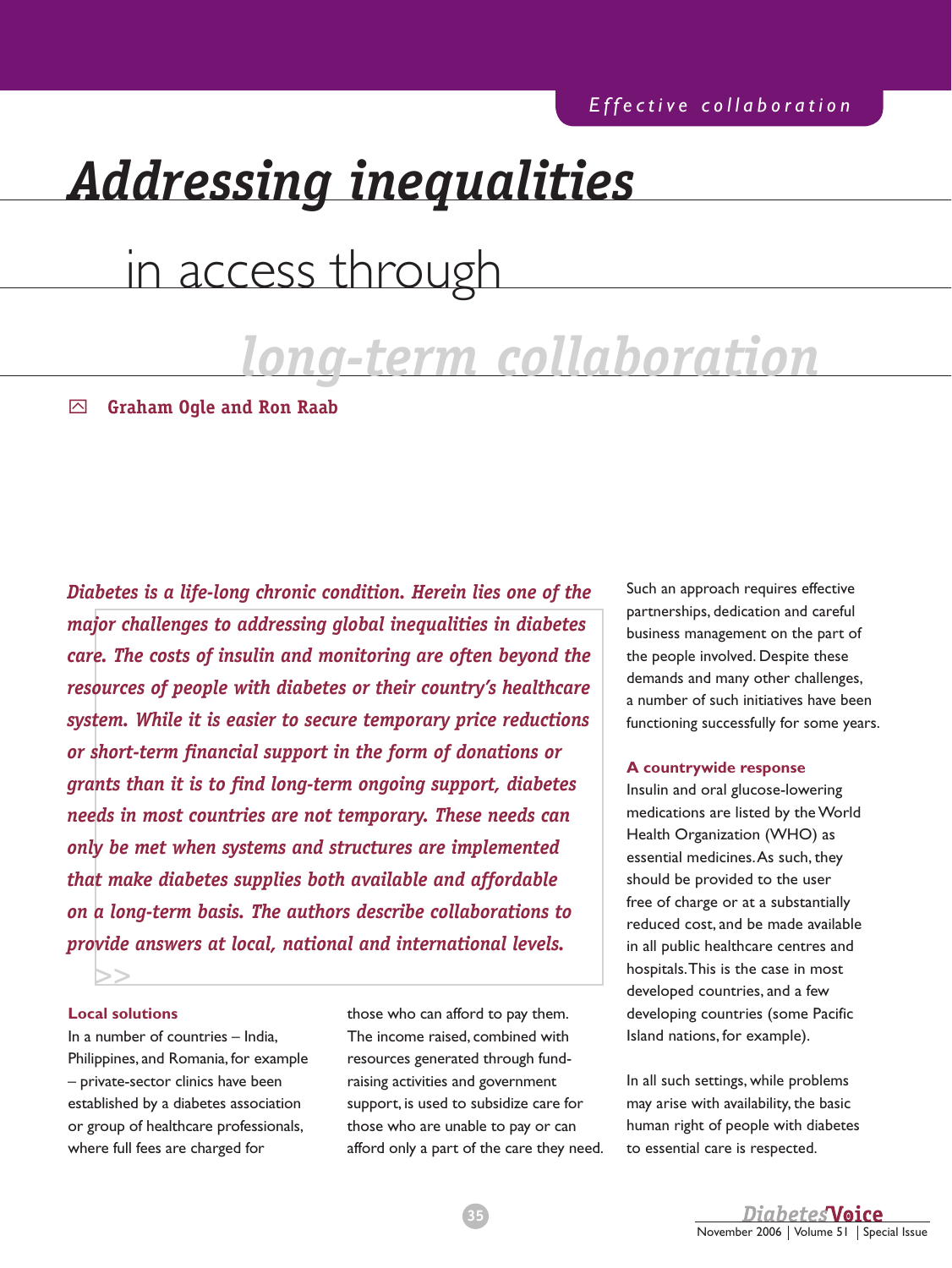# *Addressing inequalities*

## in access through

## *long-term collaboration*

y **Graham Ogle and Ron Raab**

*Diabetes is a life-long chronic condition. Herein lies one of the major challenges to addressing global inequalities in diabetes care. The costs of insulin and monitoring are often beyond the resources of people with diabetes or their country's healthcare system. While it is easier to secure temporary price reductions or short-term financial support in the form of donations or grants than it is to find long-term ongoing support, diabetes needs in most countries are not temporary. These needs can only be met when systems and structures are implemented that make diabetes supplies both available and affordable on a long-term basis. The authors describe collaborations to provide answers at local, national and international levels.*

#### **Local solutions**

>>

In a number of countries – India, Philippines, and Romania, for example – private-sector clinics have been established by a diabetes association or group of healthcare professionals, where full fees are charged for

those who can afford to pay them. The income raised, combined with resources generated through fundraising activities and government support, is used to subsidize care for those who are unable to pay or can afford only a part of the care they need. Such an approach requires effective partnerships, dedication and careful business management on the part of the people involved. Despite these demands and many other challenges, a number of such initiatives have been functioning successfully for some years.

#### **A countrywide response**

Insulin and oral glucose-lowering medications are listed by the World Health Organization (WHO) as essential medicines. As such, they should be provided to the user free of charge or at a substantially reduced cost, and be made available in all public healthcare centres and hospitals. This is the case in most developed countries, and a few developing countries (some Pacific Island nations, for example).

In all such settings, while problems may arise with availability, the basic human right of people with diabetes to essential care is respected.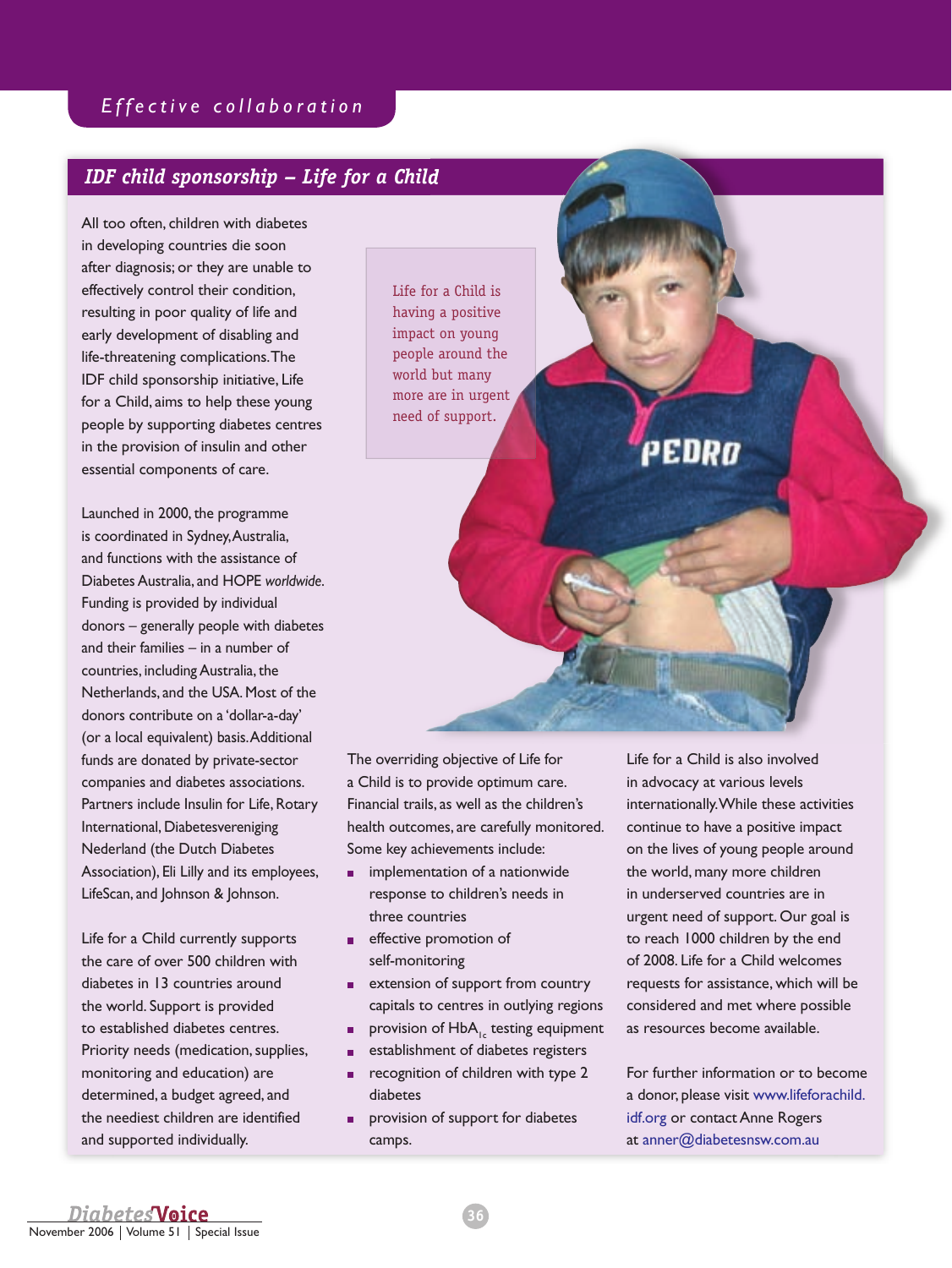## *IDF child sponsorship – Life for a Child*

All too often, children with diabetes in developing countries die soon after diagnosis; or they are unable to effectively control their condition, resulting in poor quality of life and early development of disabling and life-threatening complications. The IDF child sponsorship initiative, Life for a Child, aims to help these young people by supporting diabetes centres in the provision of insulin and other essential components of care.

Launched in 2000, the programme is coordinated in Sydney, Australia, and functions with the assistance of Diabetes Australia, and HOPE *worldwide*. Funding is provided by individual donors – generally people with diabetes and their families – in a number of countries, including Australia, the Netherlands, and the USA. Most of the donors contribute on a 'dollar-a-day' (or a local equivalent) basis. Additional funds are donated by private-sector companies and diabetes associations. Partners include Insulin for Life, Rotary International, Diabetesvereniging Nederland (the Dutch Diabetes Association), Eli Lilly and its employees, LifeScan, and Johnson & Johnson.

Life for a Child currently supports the care of over 500 children with diabetes in 13 countries around the world. Support is provided to established diabetes centres. Priority needs (medication, supplies, monitoring and education) are determined, a budget agreed, and the neediest children are identified and supported individually.

Life for a Child is having a positive impact on young people around the world but many more are in urgent need of support.

The overriding objective of Life for a Child is to provide optimum care. Financial trails, as well as the children's health outcomes, are carefully monitored. Some key achievements include:

- **n** implementation of a nationwide response to children's needs in three countries
- **effective promotion of** self-monitoring
- **EXTER** extension of support from country capitals to centres in outlying regions
- **provision of HbA<sub>1c</sub>** testing equipment
- establishment of diabetes registers
- $\blacksquare$  recognition of children with type 2 diabetes
- **provision of support for diabetes** camps.

Life for a Child is also involved in advocacy at various levels internationally. While these activities continue to have a positive impact on the lives of young people around the world, many more children in underserved countries are in urgent need of support. Our goal is to reach 1000 children by the end of 2008. Life for a Child welcomes requests for assistance, which will be considered and met where possible as resources become available.

PEDRo

For further information or to become a donor, please visit www.lifeforachild. idf.org or contact Anne Rogers at anner@diabetesnsw.com.au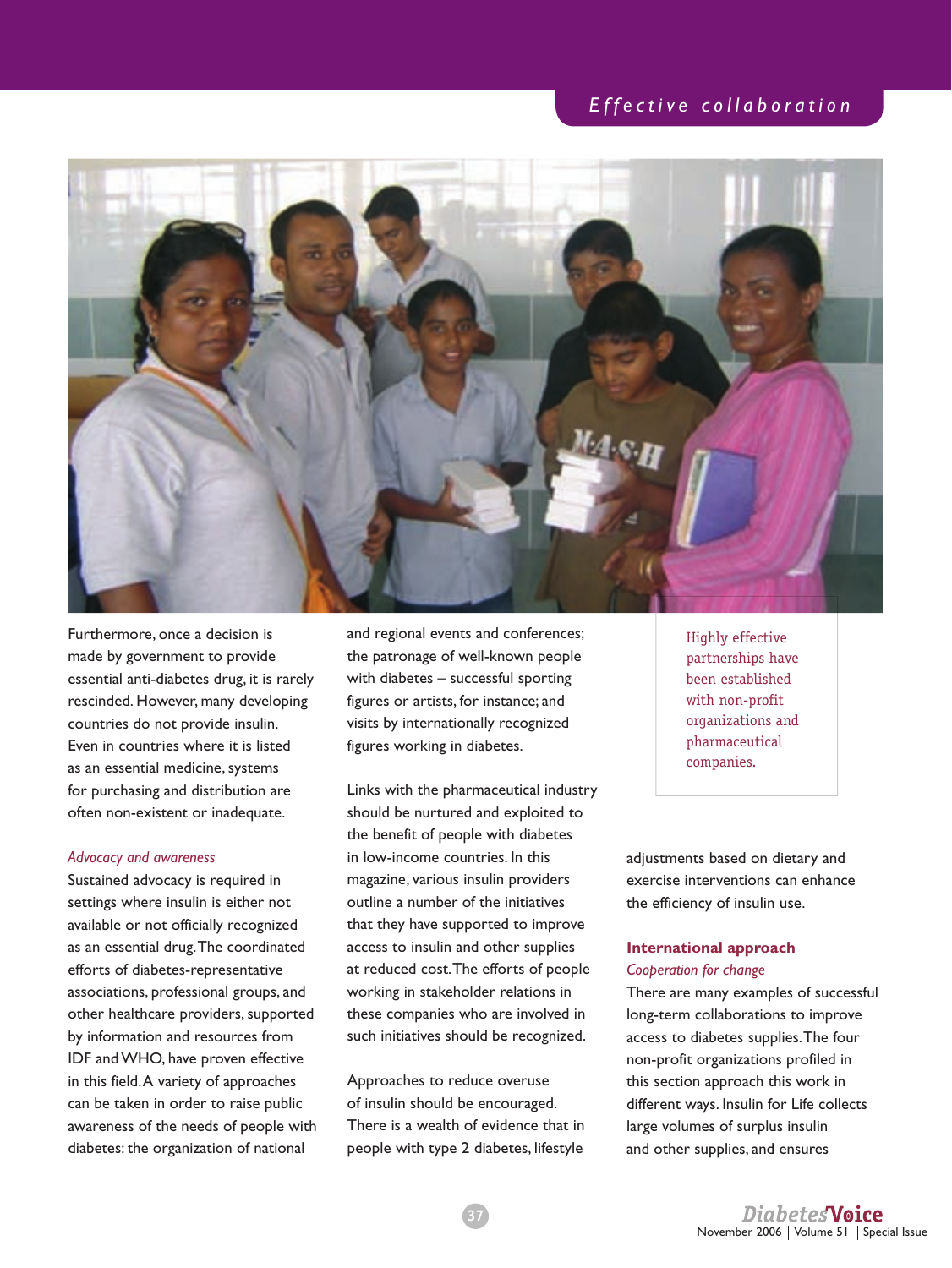## *E f f e c t i v e c o l l a b o r a t i o n*



Furthermore, once a decision is made by government to provide essential anti-diabetes drug, it is rarely rescinded. However, many developing countries do not provide insulin. Even in countries where it is listed as an essential medicine, systems for purchasing and distribution are often non-existent or inadequate.

#### *Advocacy and awareness*

Sustained advocacy is required in settings where insulin is either not available or not officially recognized as an essential drug. The coordinated efforts of diabetes-representative associations, professional groups, and other healthcare providers, supported by information and resources from IDF and WHO, have proven effective in this field. A variety of approaches can be taken in order to raise public awareness of the needs of people with diabetes: the organization of national

and regional events and conferences; the patronage of well-known people with diabetes – successful sporting figures or artists, for instance; and visits by internationally recognized figures working in diabetes.

Links with the pharmaceutical industry should be nurtured and exploited to the benefit of people with diabetes in low-income countries. In this magazine, various insulin providers outline a number of the initiatives that they have supported to improve access to insulin and other supplies at reduced cost. The efforts of people working in stakeholder relations in these companies who are involved in such initiatives should be recognized.

Approaches to reduce overuse of insulin should be encouraged. There is a wealth of evidence that in people with type 2 diabetes, lifestyle

Highly effective partnerships have been established with non-profit organizations and pharmaceutical companies.

adjustments based on dietary and exercise interventions can enhance the efficiency of insulin use.

#### **international approach** *Cooperation for change*

There are many examples of successful long-term collaborations to improve access to diabetes supplies. The four non-profit organizations profiled in this section approach this work in different ways. Insulin for Life collects large volumes of surplus insulin and other supplies, and ensures

37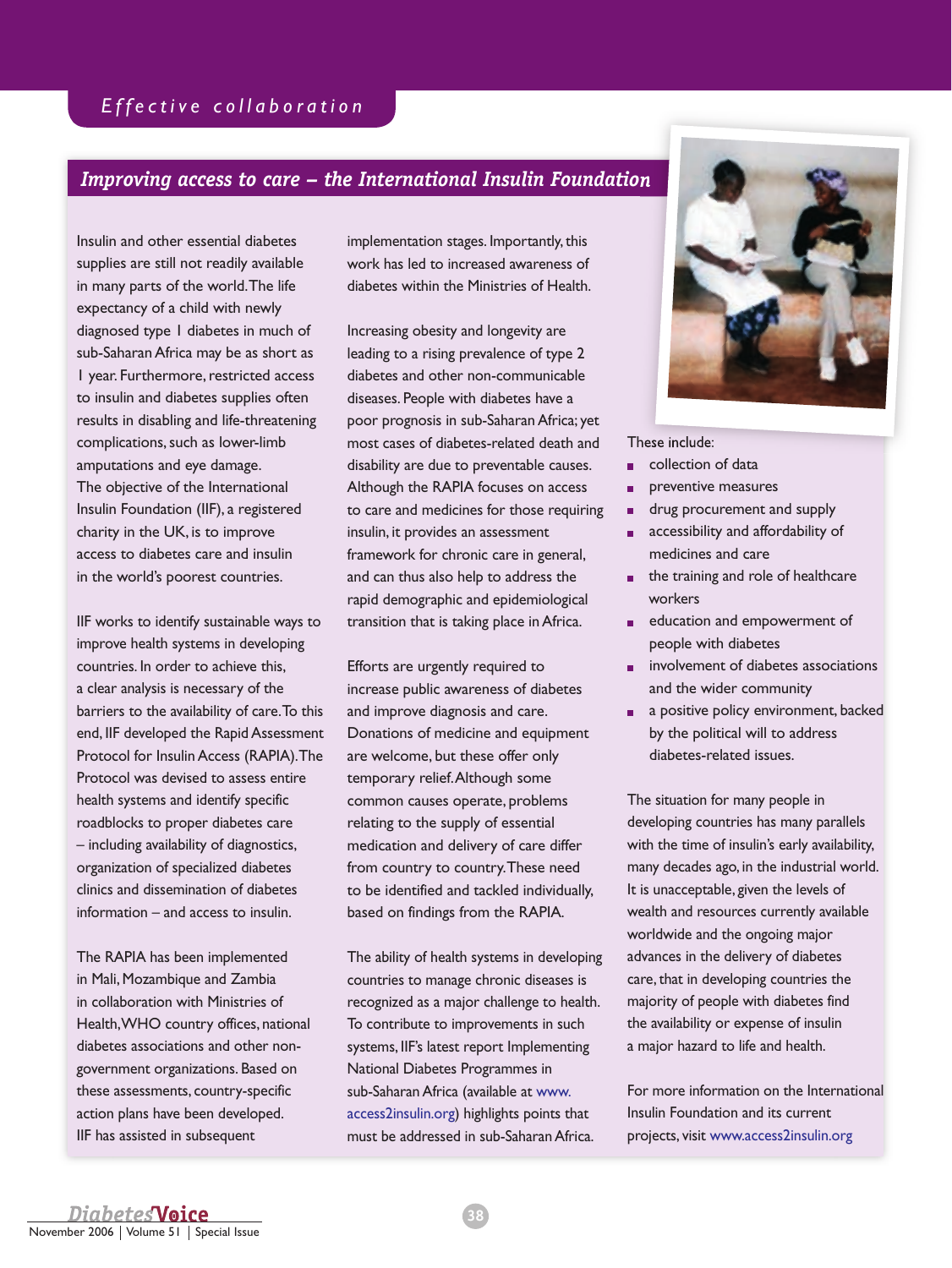### *Improving access to care – the International Insulin Foundation*

Insulin and other essential diabetes supplies are still not readily available in many parts of the world. The life expectancy of a child with newly diagnosed type 1 diabetes in much of sub-Saharan Africa may be as short as 1 year. Furthermore, restricted access to insulin and diabetes supplies often results in disabling and life-threatening complications, such as lower-limb amputations and eye damage. The objective of the International Insulin Foundation (IIF), a registered charity in the UK, is to improve access to diabetes care and insulin in the world's poorest countries.

IIF works to identify sustainable ways to improve health systems in developing countries. In order to achieve this, a clear analysis is necessary of the barriers to the availability of care. To this end, IIF developed the Rapid Assessment Protocol for Insulin Access (RAPIA). The Protocol was devised to assess entire health systems and identify specific roadblocks to proper diabetes care – including availability of diagnostics, organization of specialized diabetes clinics and dissemination of diabetes information – and access to insulin.

The RAPIA has been implemented in Mali, Mozambique and Zambia in collaboration with Ministries of Health, WHO country offices, national diabetes associations and other nongovernment organizations. Based on these assessments, country-specific action plans have been developed. IIF has assisted in subsequent

implementation stages. Importantly, this work has led to increased awareness of diabetes within the Ministries of Health.

Increasing obesity and longevity are leading to a rising prevalence of type 2 diabetes and other non-communicable diseases. People with diabetes have a poor prognosis in sub-Saharan Africa; yet most cases of diabetes-related death and disability are due to preventable causes. Although the RAPIA focuses on access to care and medicines for those requiring insulin, it provides an assessment framework for chronic care in general, and can thus also help to address the rapid demographic and epidemiological transition that is taking place in Africa.

Efforts are urgently required to increase public awareness of diabetes and improve diagnosis and care. Donations of medicine and equipment are welcome, but these offer only temporary relief. Although some common causes operate, problems relating to the supply of essential medication and delivery of care differ from country to country. These need to be identified and tackled individually, based on findings from the RAPIA.

The ability of health systems in developing countries to manage chronic diseases is recognized as a major challenge to health. To contribute to improvements in such systems, IIF's latest report Implementing National Diabetes Programmes in sub-Saharan Africa (available at www. access2insulin.org) highlights points that must be addressed in sub-Saharan Africa.



These include:

- collection of data
- preventive measures
- drug procurement and supply
- **accessibility and affordability of** medicines and care
- the training and role of healthcare workers
- education and empowerment of people with diabetes
- **involvement of diabetes associations** and the wider community
- a positive policy environment, backed by the political will to address diabetes-related issues.

The situation for many people in developing countries has many parallels with the time of insulin's early availability, many decades ago, in the industrial world. It is unacceptable, given the levels of wealth and resources currently available worldwide and the ongoing major advances in the delivery of diabetes care, that in developing countries the majority of people with diabetes find the availability or expense of insulin a major hazard to life and health.

For more information on the International Insulin Foundation and its current projects, visit www.access2insulin.org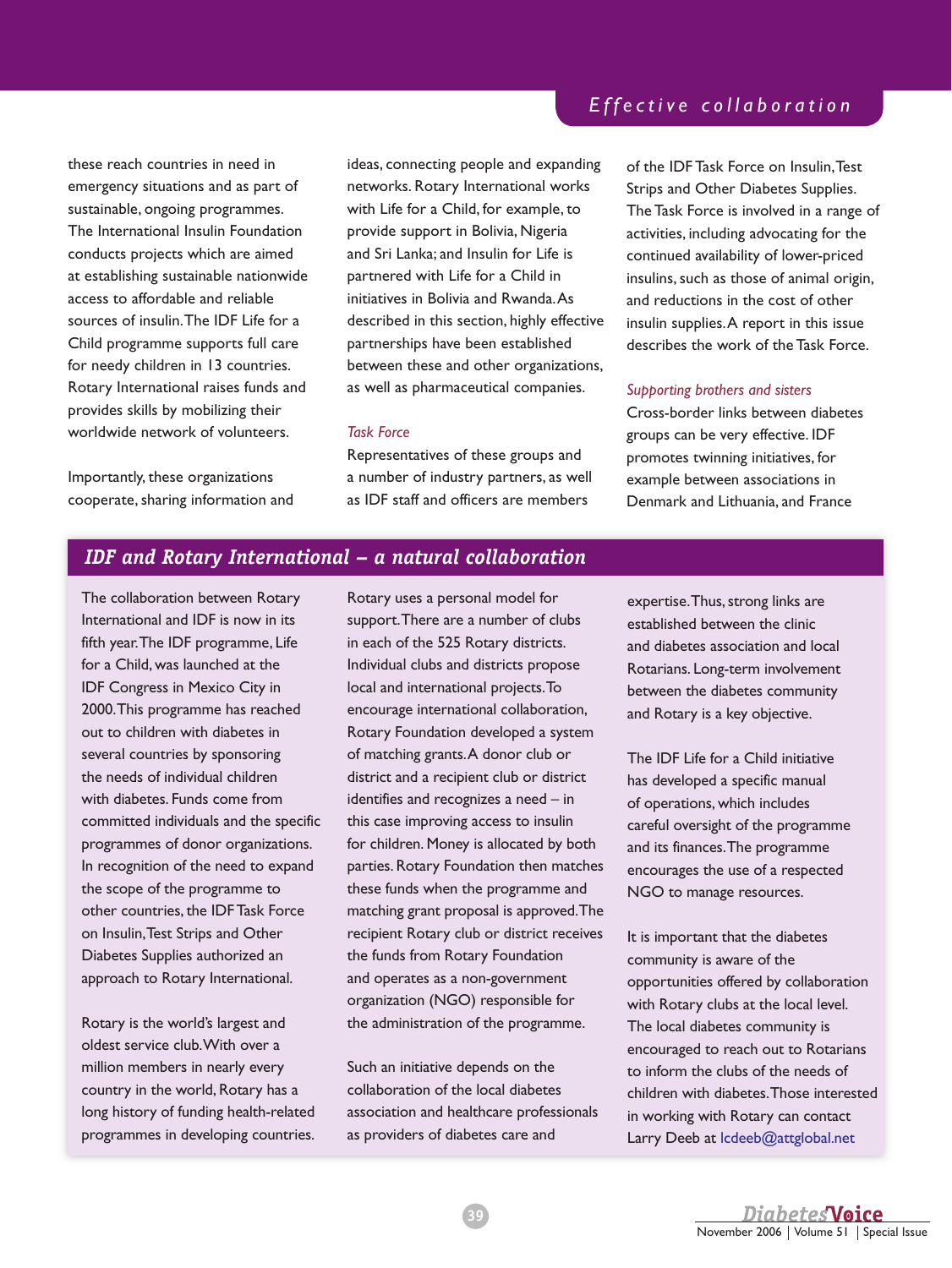these reach countries in need in emergency situations and as part of sustainable, ongoing programmes. The International Insulin Foundation conducts projects which are aimed at establishing sustainable nationwide access to affordable and reliable sources of insulin. The IDF Life for a Child programme supports full care for needy children in 13 countries. Rotary International raises funds and provides skills by mobilizing their worldwide network of volunteers.

Importantly, these organizations cooperate, sharing information and ideas, connecting people and expanding networks. Rotary International works with Life for a Child, for example, to provide support in Bolivia, Nigeria and Sri Lanka; and Insulin for Life is partnered with Life for a Child in initiatives in Bolivia and Rwanda. As described in this section, highly effective partnerships have been established between these and other organizations, as well as pharmaceutical companies.

#### *Task Force*

Representatives of these groups and a number of industry partners, as well as IDF staff and officers are members

### *E f f e c t i v e c o l l a b o r a t i o n*

of the IDF Task Force on Insulin, Test Strips and Other Diabetes Supplies. The Task Force is involved in a range of activities, including advocating for the continued availability of lower-priced insulins, such as those of animal origin, and reductions in the cost of other insulin supplies. A report in this issue describes the work of the Task Force.

#### *Supporting brothers and sisters*

Cross-border links between diabetes groups can be very effective. IDF promotes twinning initiatives, for example between associations in Denmark and Lithuania, and France

### *IDF and Rotary International – a natural collaboration*

The collaboration between Rotary International and IDF is now in its fifth year. The IDF programme, Life for a Child, was launched at the IDF Congress in Mexico City in 2000. This programme has reached out to children with diabetes in several countries by sponsoring the needs of individual children with diabetes. Funds come from committed individuals and the specific programmes of donor organizations. In recognition of the need to expand the scope of the programme to other countries, the IDF Task Force on Insulin, Test Strips and Other Diabetes Supplies authorized an approach to Rotary International.

Rotary is the world's largest and oldest service club. With over a million members in nearly every country in the world, Rotary has a long history of funding health-related programmes in developing countries.

Rotary uses a personal model for support. There are a number of clubs in each of the 525 Rotary districts. Individual clubs and districts propose local and international projects. To encourage international collaboration, Rotary Foundation developed a system of matching grants. A donor club or district and a recipient club or district identifies and recognizes a need – in this case improving access to insulin for children. Money is allocated by both parties. Rotary Foundation then matches these funds when the programme and matching grant proposal is approved. The recipient Rotary club or district receives the funds from Rotary Foundation and operates as a non-government organization (NGO) responsible for the administration of the programme.

Such an initiative depends on the collaboration of the local diabetes association and healthcare professionals as providers of diabetes care and

expertise. Thus, strong links are established between the clinic and diabetes association and local Rotarians. Long-term involvement between the diabetes community and Rotary is a key objective.

The IDF Life for a Child initiative has developed a specific manual of operations, which includes careful oversight of the programme and its finances. The programme encourages the use of a respected NGO to manage resources.

It is important that the diabetes community is aware of the opportunities offered by collaboration with Rotary clubs at the local level. The local diabetes community is encouraged to reach out to Rotarians to inform the clubs of the needs of children with diabetes. Those interested in working with Rotary can contact Larry Deeb at lcdeeb@attglobal.net

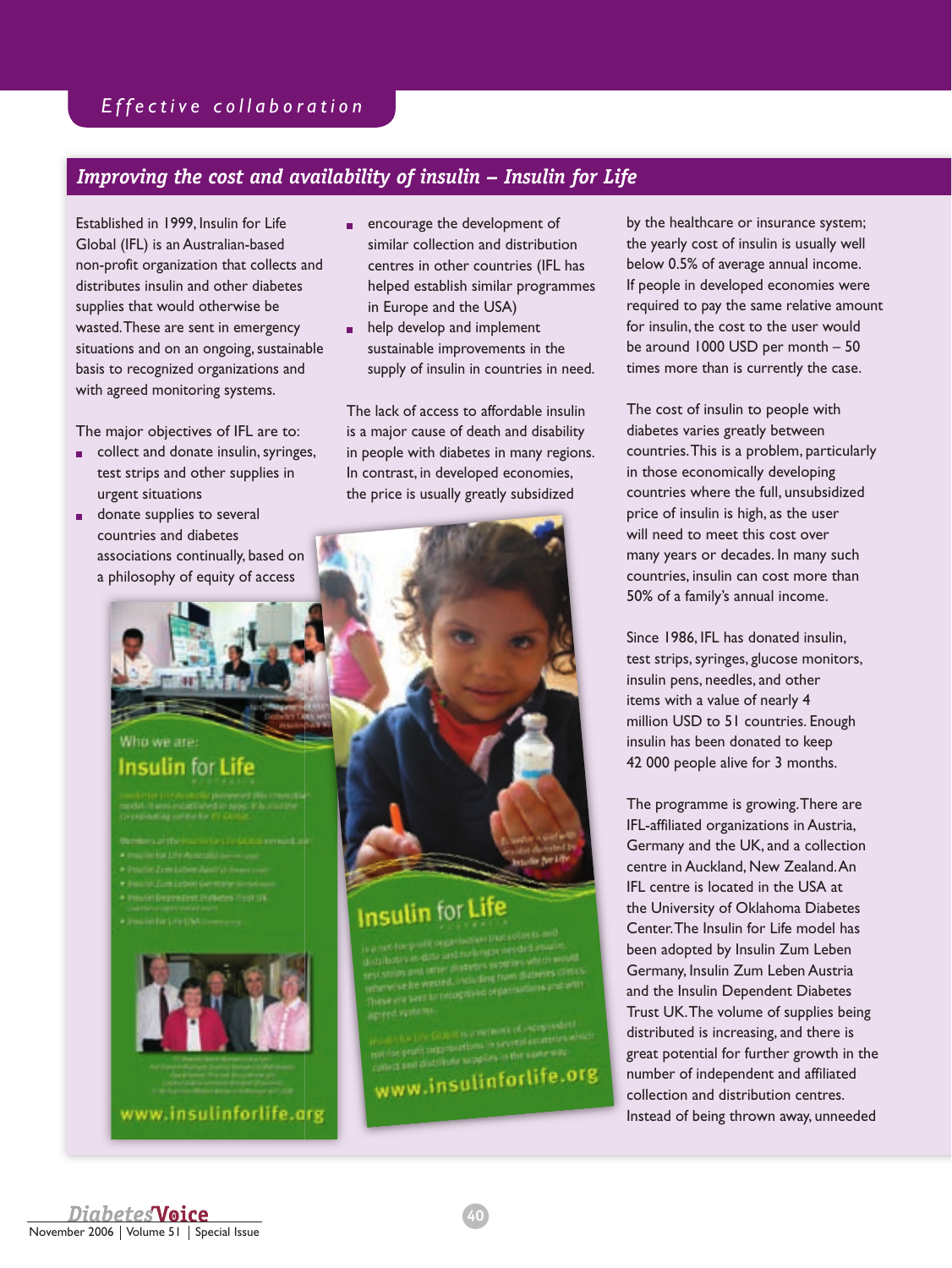## *E f f e c t i v e c o l l a b o r a t i o n*

## *Improving the cost and availability of insulin – Insulin for Life*

Established in 1999, Insulin for Life Global (IFL) is an Australian-based non-profit organization that collects and distributes insulin and other diabetes supplies that would otherwise be wasted. These are sent in emergency situations and on an ongoing, sustainable basis to recognized organizations and with agreed monitoring systems.

The major objectives of IFL are to:

- collect and donate insulin, syringes, test strips and other supplies in urgent situations
- **donate supplies to several** countries and diabetes associations continually, based on a philosophy of equity of access
	- Who we are:

## **Insulin for Life**

- 
- 
- 
- 
- 
- 



www.insulinforlife.arg

- encourage the development of similar collection and distribution centres in other countries (IFL has helped establish similar programmes in Europe and the USA)
- **help develop and implement** sustainable improvements in the supply of insulin in countries in need.

The lack of access to affordable insulin is a major cause of death and disability in people with diabetes in many regions. In contrast, in developed economies, the price is usually greatly subsidized



## **Insulin for Life**

www.insulinforlife.org

by the healthcare or insurance system; the yearly cost of insulin is usually well below 0.5% of average annual income. If people in developed economies were required to pay the same relative amount for insulin, the cost to the user would be around 1000 USD per month – 50 times more than is currently the case.

The cost of insulin to people with diabetes varies greatly between countries. This is a problem, particularly in those economically developing countries where the full, unsubsidized price of insulin is high, as the user will need to meet this cost over many years or decades. In many such countries, insulin can cost more than 50% of a family's annual income.

Since 1986, IFL has donated insulin, test strips, syringes, glucose monitors, insulin pens, needles, and other items with a value of nearly 4 million USD to 51 countries. Enough insulin has been donated to keep 42 000 people alive for 3 months.

The programme is growing. There are IFL-affiliated organizations in Austria, Germany and the UK, and a collection centre in Auckland, New Zealand. An IFL centre is located in the USA at the University of Oklahoma Diabetes Center. The Insulin for Life model has been adopted by Insulin Zum Leben Germany, Insulin Zum Leben Austria and the Insulin Dependent Diabetes Trust UK. The volume of supplies being distributed is increasing, and there is great potential for further growth in the number of independent and affiliated collection and distribution centres. Instead of being thrown away, unneeded